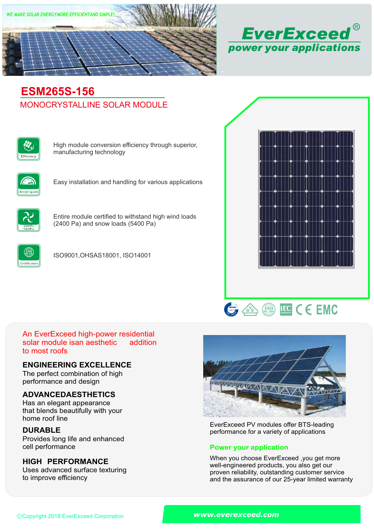



# MONOCRYSTALLINE SOLAR MODULE **ESM265S-156**



High module conversion efficiency through superior, manufacturing technology



Easy installation and handling for various applications



Entire module certified to withstand high wind loads (2400 Pa) and snow loads (5400 Pa)



ISO9001,OHSAS18001, ISO14001





#### An EverExceed high-power residential solar module isan aesthetic to most roofs addition

## **ENGINEERING EXCELLENCE**

The perfect combination of high performance and design

# **ADVANCEDAESTHETICS**

Has an elegant appearance that blends beautifully with your home roof line

# **DURABLE**

Provides long life and enhanced<br>cell performance

# **HIGH PERFORMANCE**

Uses advanced surface texturing to improve efficiency



EverExceed PV modules offer BTS-leading performance for a variety of applications

## **Power your application**

When you choose EverExceed ,you get more well-engineered products, you also get our proven reliability, outstanding customer service and the assurance of our 25-year limited warranty